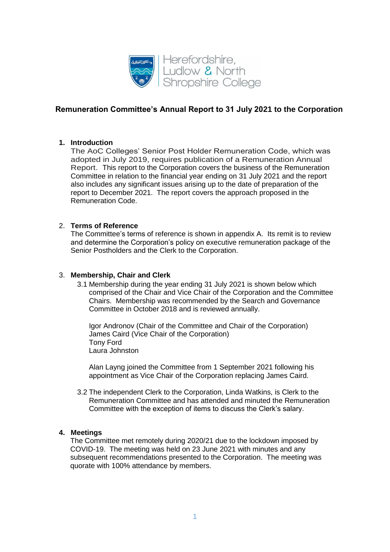

# **Remuneration Committee's Annual Report to 31 July 2021 to the Corporation**

## **1. Introduction**

The AoC Colleges' Senior Post Holder Remuneration Code, which was adopted in July 2019, requires publication of a Remuneration Annual Report. This report to the Corporation covers the business of the Remuneration Committee in relation to the financial year ending on 31 July 2021 and the report also includes any significant issues arising up to the date of preparation of the report to December 2021. The report covers the approach proposed in the Remuneration Code.

### 2. **Terms of Reference**

The Committee's terms of reference is shown in appendix A. Its remit is to review and determine the Corporation's policy on executive remuneration package of the Senior Postholders and the Clerk to the Corporation.

#### 3. **Membership, Chair and Clerk**

3.1 Membership during the year ending 31 July 2021 is shown below which comprised of the Chair and Vice Chair of the Corporation and the Committee Chairs. Membership was recommended by the Search and Governance Committee in October 2018 and is reviewed annually.

Igor Andronov (Chair of the Committee and Chair of the Corporation) James Caird (Vice Chair of the Corporation) Tony Ford Laura Johnston

Alan Layng joined the Committee from 1 September 2021 following his appointment as Vice Chair of the Corporation replacing James Caird.

3.2 The independent Clerk to the Corporation, Linda Watkins, is Clerk to the Remuneration Committee and has attended and minuted the Remuneration Committee with the exception of items to discuss the Clerk's salary.

#### **4. Meetings**

The Committee met remotely during 2020/21 due to the lockdown imposed by COVID-19. The meeting was held on 23 June 2021 with minutes and any subsequent recommendations presented to the Corporation. The meeting was quorate with 100% attendance by members.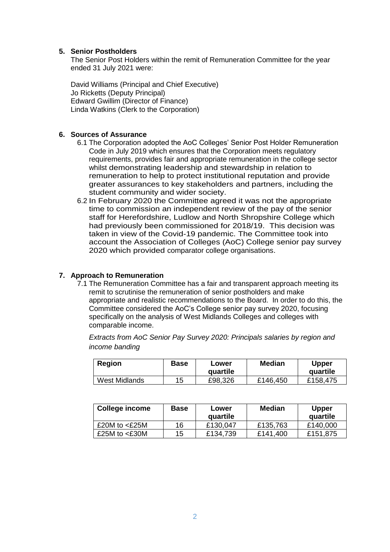### **5. Senior Postholders**

The Senior Post Holders within the remit of Remuneration Committee for the year ended 31 July 2021 were:

David Williams (Principal and Chief Executive) Jo Ricketts (Deputy Principal) Edward Gwillim (Director of Finance) Linda Watkins (Clerk to the Corporation)

### **6. Sources of Assurance**

- 6.1 The Corporation adopted the AoC Colleges' Senior Post Holder Remuneration Code in July 2019 which ensures that the Corporation meets regulatory requirements, provides fair and appropriate remuneration in the college sector whilst demonstrating leadership and stewardship in relation to remuneration to help to protect institutional reputation and provide greater assurances to key stakeholders and partners, including the student community and wider society.
- 6.2 In February 2020 the Committee agreed it was not the appropriate time to commission an independent review of the pay of the senior staff for Herefordshire, Ludlow and North Shropshire College which had previously been commissioned for 2018/19. This decision was taken in view of the Covid-19 pandemic. The Committee took into account the Association of Colleges (AoC) College senior pay survey 2020 which provided comparator college organisations.

### **7. Approach to Remuneration**

7.1 The Remuneration Committee has a fair and transparent approach meeting its remit to scrutinise the remuneration of senior postholders and make appropriate and realistic recommendations to the Board. In order to do this, the Committee considered the AoC's College senior pay survey 2020, focusing specifically on the analysis of West Midlands Colleges and colleges with comparable income.

*Extracts from AoC Senior Pay Survey 2020: Principals salaries by region and income banding*

| <b>Region</b>        | Base | Lower<br>quartile | <b>Median</b> | Upper<br>quartile |
|----------------------|------|-------------------|---------------|-------------------|
| <b>West Midlands</b> | 15   | £98,326           | £146,450      | £158,475          |

| College income   | <b>Base</b> | Lower<br>quartile | Median   | <b>Upper</b><br>quartile |
|------------------|-------------|-------------------|----------|--------------------------|
| £20M to $<$ £25M | 16          | £130,047          | £135,763 | £140,000                 |
| £25M to $<$ £30M | 15          | £134,739          | £141,400 | £151,875                 |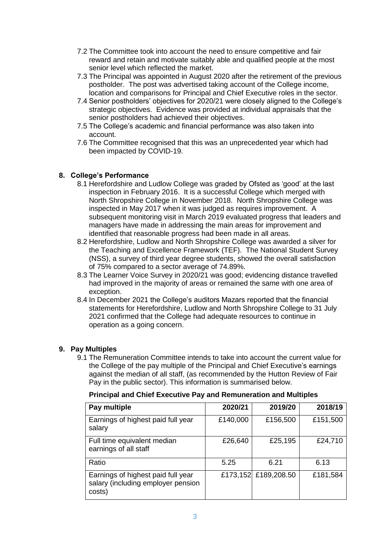- 7.2 The Committee took into account the need to ensure competitive and fair reward and retain and motivate suitably able and qualified people at the most senior level which reflected the market.
- 7.3 The Principal was appointed in August 2020 after the retirement of the previous postholder. The post was advertised taking account of the College income, location and comparisons for Principal and Chief Executive roles in the sector.
- 7.4 Senior postholders' objectives for 2020/21 were closely aligned to the College's strategic objectives. Evidence was provided at individual appraisals that the senior postholders had achieved their objectives.
- 7.5 The College's academic and financial performance was also taken into account.
- 7.6 The Committee recognised that this was an unprecedented year which had been impacted by COVID-19.

## **8. College's Performance**

- 8.1 Herefordshire and Ludlow College was graded by Ofsted as 'good' at the last inspection in February 2016. It is a successful College which merged with North Shropshire College in November 2018. North Shropshire College was inspected in May 2017 when it was judged as requires improvement. A subsequent monitoring visit in March 2019 evaluated progress that leaders and managers have made in addressing the main areas for improvement and identified that reasonable progress had been made in all areas.
- 8.2 Herefordshire, Ludlow and North Shropshire College was awarded a silver for the Teaching and Excellence Framework (TEF). The National Student Survey (NSS), a survey of third year degree students, showed the overall satisfaction of 75% compared to a sector average of 74.89%.
- 8.3 The Learner Voice Survey in 2020/21 was good; evidencing distance travelled had improved in the majority of areas or remained the same with one area of exception.
- 8.4 In December 2021 the College's auditors Mazars reported that the financial statements for Herefordshire, Ludlow and North Shropshire College to 31 July 2021 confirmed that the College had adequate resources to continue in operation as a going concern.

# **9. Pay Multiples**

9.1 The Remuneration Committee intends to take into account the current value for the College of the pay multiple of the Principal and Chief Executive's earnings against the median of all staff, (as recommended by the Hutton Review of Fair Pay in the public sector). This information is summarised below.

## **Principal and Chief Executive Pay and Remuneration and Multiples**

| Pay multiple                                                                       | 2020/21  | 2019/20              | 2018/19  |
|------------------------------------------------------------------------------------|----------|----------------------|----------|
| Earnings of highest paid full year<br>salary                                       | £140,000 | £156,500             | £151,500 |
| Full time equivalent median<br>earnings of all staff                               | £26,640  | £25,195              | £24,710  |
| Ratio                                                                              | 5.25     | 6.21                 | 6.13     |
| Earnings of highest paid full year<br>salary (including employer pension<br>costs) |          | £173,152 £189,208.50 | £181,584 |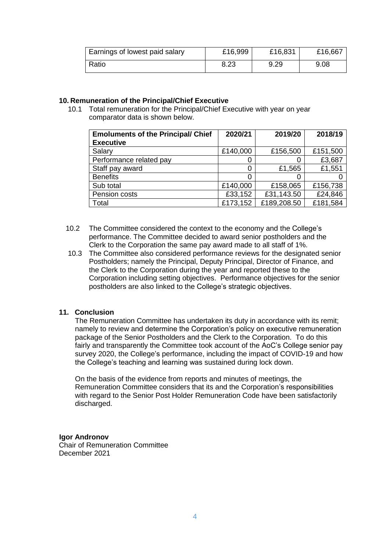| Earnings of lowest paid salary | £16,999 | £16,831 | £16,667 |
|--------------------------------|---------|---------|---------|
| Ratio                          | 8.23    | 9.29    | 9.08    |

## **10. Remuneration of the Principal/Chief Executive**

10.1 Total remuneration for the Principal/Chief Executive with year on year comparator data is shown below.

| <b>Emoluments of the Principal/ Chief</b><br><b>Executive</b> | 2020/21  | 2019/20     | 2018/19  |
|---------------------------------------------------------------|----------|-------------|----------|
| Salary                                                        | £140,000 | £156,500    | £151,500 |
| Performance related pay                                       | O        |             | £3,687   |
| Staff pay award                                               | 0        | £1,565      | £1,551   |
| <b>Benefits</b>                                               | 0        |             |          |
| Sub total                                                     | £140,000 | £158,065    | £156,738 |
| Pension costs                                                 | £33,152  | £31,143.50  | £24,846  |
| Total                                                         | £173,152 | £189,208.50 | £181,584 |

- 10.2 The Committee considered the context to the economy and the College's performance. The Committee decided to award senior postholders and the Clerk to the Corporation the same pay award made to all staff of 1%.
- 10.3 The Committee also considered performance reviews for the designated senior Postholders; namely the Principal, Deputy Principal, Director of Finance, and the Clerk to the Corporation during the year and reported these to the Corporation including setting objectives. Performance objectives for the senior postholders are also linked to the College's strategic objectives.

#### **11. Conclusion**

The Remuneration Committee has undertaken its duty in accordance with its remit; namely to review and determine the Corporation's policy on executive remuneration package of the Senior Postholders and the Clerk to the Corporation. To do this fairly and transparently the Committee took account of the AoC's College senior pay survey 2020, the College's performance, including the impact of COVID-19 and how the College's teaching and learning was sustained during lock down.

On the basis of the evidence from reports and minutes of meetings, the Remuneration Committee considers that its and the Corporation's responsibilities with regard to the Senior Post Holder Remuneration Code have been satisfactorily discharged.

#### **Igor Andronov**

Chair of Remuneration Committee December 2021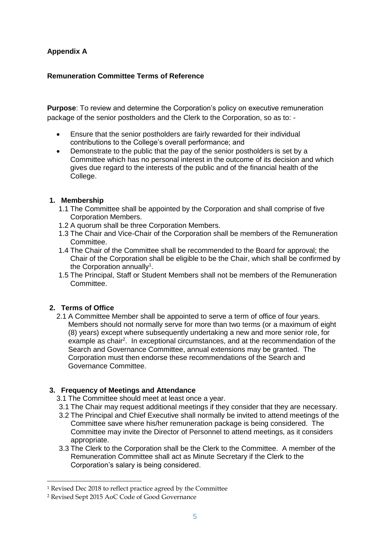# **Appendix A**

## **Remuneration Committee Terms of Reference**

**Purpose**: To review and determine the Corporation's policy on executive remuneration package of the senior postholders and the Clerk to the Corporation, so as to: -

- Ensure that the senior postholders are fairly rewarded for their individual contributions to the College's overall performance; and
- Demonstrate to the public that the pay of the senior postholders is set by a Committee which has no personal interest in the outcome of its decision and which gives due regard to the interests of the public and of the financial health of the College.

## **1. Membership**

- 1.1 The Committee shall be appointed by the Corporation and shall comprise of five Corporation Members.
- 1.2 A quorum shall be three Corporation Members.
- 1.3 The Chair and Vice-Chair of the Corporation shall be members of the Remuneration Committee.
- 1.4 The Chair of the Committee shall be recommended to the Board for approval; the Chair of the Corporation shall be eligible to be the Chair, which shall be confirmed by the Corporation annually<sup>1</sup>.
- 1.5 The Principal, Staff or Student Members shall not be members of the Remuneration Committee.

# **2. Terms of Office**

 $\overline{a}$ 

2.1 A Committee Member shall be appointed to serve a term of office of four years. Members should not normally serve for more than two terms (or a maximum of eight (8) years) except where subsequently undertaking a new and more senior role, for example as chair<sup>2</sup>. In exceptional circumstances, and at the recommendation of the Search and Governance Committee, annual extensions may be granted. The Corporation must then endorse these recommendations of the Search and Governance Committee.

# **3. Frequency of Meetings and Attendance**

- 3.1 The Committee should meet at least once a year.
- 3.1 The Chair may request additional meetings if they consider that they are necessary.
- 3.2 The Principal and Chief Executive shall normally be invited to attend meetings of the Committee save where his/her remuneration package is being considered. The Committee may invite the Director of Personnel to attend meetings, as it considers appropriate.
- 3.3 The Clerk to the Corporation shall be the Clerk to the Committee. A member of the Remuneration Committee shall act as Minute Secretary if the Clerk to the Corporation's salary is being considered.

<sup>1</sup> Revised Dec 2018 to reflect practice agreed by the Committee

<sup>2</sup> Revised Sept 2015 AoC Code of Good Governance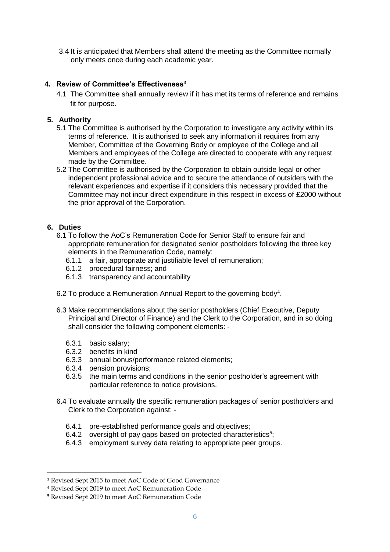3.4 It is anticipated that Members shall attend the meeting as the Committee normally only meets once during each academic year.

## **4. Review of Committee's Effectiveness**<sup>3</sup>

4.1 The Committee shall annually review if it has met its terms of reference and remains fit for purpose.

## **5. Authority**

- 5.1 The Committee is authorised by the Corporation to investigate any activity within its terms of reference. It is authorised to seek any information it requires from any Member, Committee of the Governing Body or employee of the College and all Members and employees of the College are directed to cooperate with any request made by the Committee.
- 5.2 The Committee is authorised by the Corporation to obtain outside legal or other independent professional advice and to secure the attendance of outsiders with the relevant experiences and expertise if it considers this necessary provided that the Committee may not incur direct expenditure in this respect in excess of £2000 without the prior approval of the Corporation.

## **6. Duties**

1

- 6.1 To follow the AoC's Remuneration Code for Senior Staff to ensure fair and appropriate remuneration for designated senior postholders following the three key elements in the Remuneration Code, namely:
	- 6.1.1 a fair, appropriate and justifiable level of remuneration;
	- 6.1.2 procedural fairness; and
	- 6.1.3 transparency and accountability
- 6.2 To produce a Remuneration Annual Report to the governing body<sup>4</sup>.
- 6.3 Make recommendations about the senior postholders (Chief Executive, Deputy Principal and Director of Finance) and the Clerk to the Corporation, and in so doing shall consider the following component elements: -
	- 6.3.1 basic salary;
	- 6.3.2 benefits in kind
	- 6.3.3 annual bonus/performance related elements;
	- 6.3.4 pension provisions;
	- 6.3.5 the main terms and conditions in the senior postholder's agreement with particular reference to notice provisions.
- 6.4 To evaluate annually the specific remuneration packages of senior postholders and Clerk to the Corporation against: -
	- 6.4.1 pre-established performance goals and objectives;
	- 6.4.2 oversight of pay gaps based on protected characteristics<sup>5</sup>;
	- 6.4.3 employment survey data relating to appropriate peer groups.

<sup>3</sup> Revised Sept 2015 to meet AoC Code of Good Governance

<sup>4</sup> Revised Sept 2019 to meet AoC Remuneration Code

<sup>5</sup> Revised Sept 2019 to meet AoC Remuneration Code